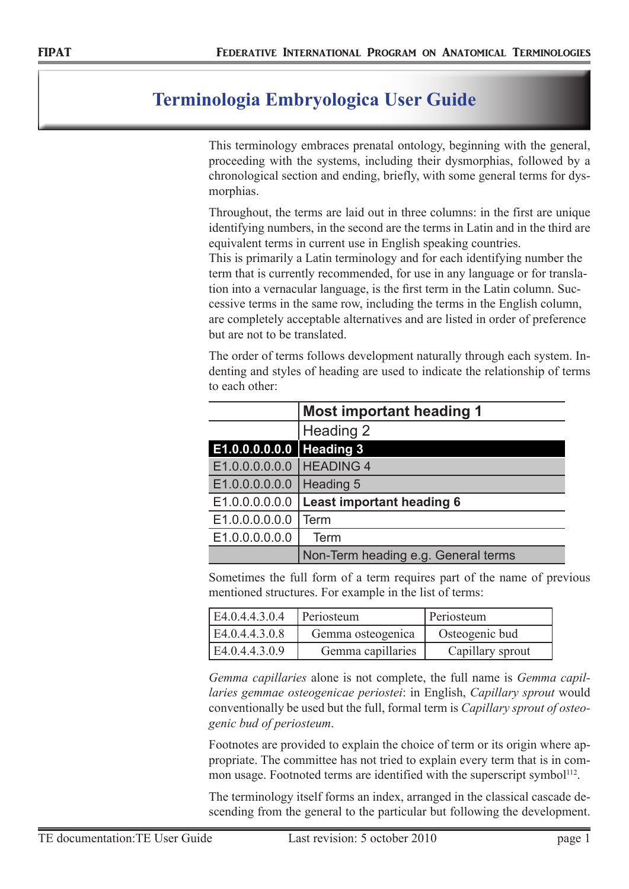## **Terminologia Embryologica User Guide**

This terminology embraces prenatal ontology, beginning with the general, proceeding with the systems, including their dysmorphias, followed by a chronological section and ending, briefly, with some general terms for dysmorphias.

Throughout, the terms are laid out in three columns: in the first are unique identifying numbers, in the second are the terms in Latin and in the third are equivalent terms in current use in English speaking countries.

This is primarily a Latin terminology and for each identifying number the term that is currently recommended, for use in any language or for translation into a vernacular language, is the first term in the Latin column. Successive terms in the same row, including the terms in the English column, are completely acceptable alternatives and are listed in order of preference but are not to be translated.

The order of terms follows development naturally through each system. Indenting and styles of heading are used to indicate the relationship of terms to each other:

|                            | <b>Most important heading 1</b>     |  |  |
|----------------------------|-------------------------------------|--|--|
|                            | Heading 2                           |  |  |
| E1.0.0.0.0.0.0   Heading 3 |                                     |  |  |
| E1.0.0.0.0.0.0   HEADING 4 |                                     |  |  |
| E1.0.0.0.0.0.0             | Heading 5                           |  |  |
| E1.0.0.0.0.0.0             | <b>Least important heading 6</b>    |  |  |
| E1.0.0.0.0.0.0             | Term                                |  |  |
| E1.0.0.0.0.0.0             | Term                                |  |  |
|                            | Non-Term heading e.g. General terms |  |  |

Sometimes the full form of a term requires part of the name of previous mentioned structures. For example in the list of terms:

| E4.0.4.4.3.0.4 | Periosteum        | Periosteum       |
|----------------|-------------------|------------------|
| E4.0.4.4.3.0.8 | Gemma osteogenica | Osteogenic bud   |
| E4.0.4.4.3.0.9 | Gemma capillaries | Capillary sprout |

*Gemma capillaries* alone is not complete, the full name is *Gemma capillaries gemmae osteogenicae periostei*: in English, *Capillary sprout* would conventionally be used but the full, formal term is *Capillary sprout of osteogenic bud of periosteum*.

Footnotes are provided to explain the choice of term or its origin where appropriate. The committee has not tried to explain every term that is in common usage. Footnoted terms are identified with the superscript symbol<sup>112</sup>.

The terminology itself forms an index, arranged in the classical cascade descending from the general to the particular but following the development.